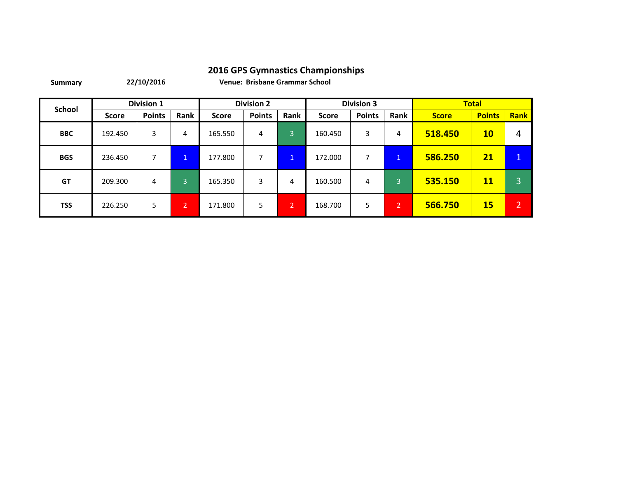**Summary**

**22/10/2016 Venue: Brisbane Grammar School**

| <b>School</b> |              | <b>Division 1</b> |                |              | <b>Division 2</b> |                       |              | <b>Division 3</b> |                |              | <b>Total</b>    |             |
|---------------|--------------|-------------------|----------------|--------------|-------------------|-----------------------|--------------|-------------------|----------------|--------------|-----------------|-------------|
|               | <b>Score</b> | <b>Points</b>     | Rank           | <b>Score</b> | <b>Points</b>     | Rank                  | <b>Score</b> | <b>Points</b>     | Rank           | <b>Score</b> | <b>Points</b>   | <b>Rank</b> |
| <b>BBC</b>    | 192.450      | 3                 | 4              | 165.550      | 4                 | 3                     | 160.450      | 3                 | 4              | 518.450      | 10 <sub>1</sub> | 4           |
| <b>BGS</b>    | 236.450      |                   | $\mathbf{1}$   | 177.800      | 7                 | $\mathbf{1}$          | 172.000      |                   | $\mathbf{1}$   | 586.250      | 21              | -1          |
| <b>GT</b>     | 209.300      | 4                 | 3              | 165.350      | 3                 | 4                     | 160.500      | 4                 | 3              | 535.150      | 11              | 3           |
| <b>TSS</b>    | 226.250      | 5                 | $\overline{2}$ | 171.800      | 5                 | $\mathbf{2}^{\prime}$ | 168.700      | 5.                | $\overline{2}$ | 566.750      | <b>15</b>       | ി           |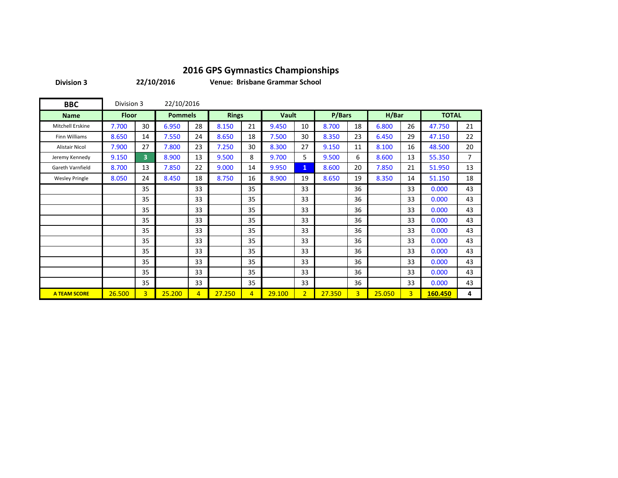**Division 3**

**22/10/2016**

**Venue: Brisbane Grammar School**

| <b>BBC</b>            | Division 3   |                | 22/10/2016     |                |              |                |        |                |        |                |        |                |              |                |
|-----------------------|--------------|----------------|----------------|----------------|--------------|----------------|--------|----------------|--------|----------------|--------|----------------|--------------|----------------|
| <b>Name</b>           | <b>Floor</b> |                | <b>Pommels</b> |                | <b>Rings</b> |                | Vault  |                | P/Bars |                | H/Bar  |                | <b>TOTAL</b> |                |
| Mitchell Erskine      | 7.700        | 30             | 6.950          | 28             | 8.150        | 21             | 9.450  | 10             | 8.700  | 18             | 6.800  | 26             | 47.750       | 21             |
| <b>Finn Williams</b>  | 8.650        | 14             | 7.550          | 24             | 8.650        | 18             | 7.500  | 30             | 8.350  | 23             | 6.450  | 29             | 47.150       | 22             |
| <b>Alistair Nicol</b> | 7.900        | 27             | 7.800          | 23             | 7.250        | 30             | 8.300  | 27             | 9.150  | 11             | 8.100  | 16             | 48.500       | 20             |
| Jeremy Kennedy        | 9.150        | 3              | 8.900          | 13             | 9.500        | 8              | 9.700  | 5              | 9.500  | 6              | 8.600  | 13             | 55.350       | $\overline{7}$ |
| Gareth Varnfield      | 8.700        | 13             | 7.850          | 22             | 9.000        | 14             | 9.950  | $\mathbf{1}$   | 8.600  | 20             | 7.850  | 21             | 51.950       | 13             |
| <b>Wesley Pringle</b> | 8.050        | 24             | 8.450          | 18             | 8.750        | 16             | 8.900  | 19             | 8.650  | 19             | 8.350  | 14             | 51.150       | 18             |
|                       |              | 35             |                | 33             |              | 35             |        | 33             |        | 36             |        | 33             | 0.000        | 43             |
|                       |              | 35             |                | 33             |              | 35             |        | 33             |        | 36             |        | 33             | 0.000        | 43             |
|                       |              | 35             |                | 33             |              | 35             |        | 33             |        | 36             |        | 33             | 0.000        | 43             |
|                       |              | 35             |                | 33             |              | 35             |        | 33             |        | 36             |        | 33             | 0.000        | 43             |
|                       |              | 35             |                | 33             |              | 35             |        | 33             |        | 36             |        | 33             | 0.000        | 43             |
|                       |              | 35             |                | 33             |              | 35             |        | 33             |        | 36             |        | 33             | 0.000        | 43             |
|                       |              | 35             |                | 33             |              | 35             |        | 33             |        | 36             |        | 33             | 0.000        | 43             |
|                       |              | 35             |                | 33             |              | 35             |        | 33             |        | 36             |        | 33             | 0.000        | 43             |
|                       |              | 35             |                | 33             |              | 35             |        | 33             |        | 36             |        | 33             | 0.000        | 43             |
|                       |              | 35             |                | 33             |              | 35             |        | 33             |        | 36             |        | 33             | 0.000        | 43             |
| <b>A TEAM SCORE</b>   | 26.500       | $\overline{3}$ | 25.200         | $\overline{4}$ | 27.250       | $\overline{4}$ | 29.100 | 2 <sup>1</sup> | 27.350 | $\overline{3}$ | 25.050 | $\overline{3}$ | 160.450      | 4              |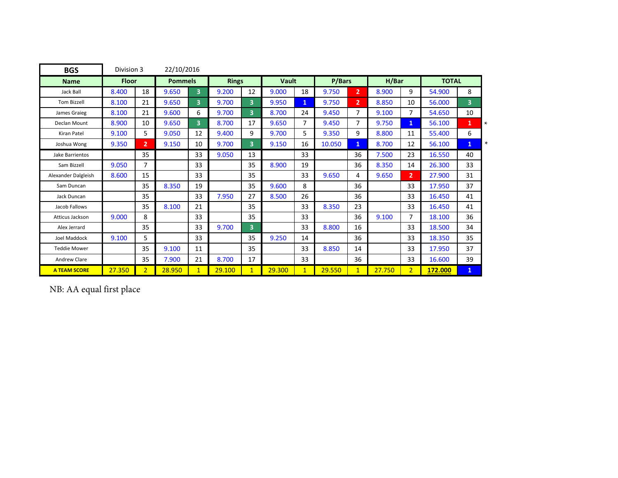| <b>BGS</b>          | Division 3   |                | 22/10/2016     |                |              |                         |        |              |        |                |        |                |              |              |
|---------------------|--------------|----------------|----------------|----------------|--------------|-------------------------|--------|--------------|--------|----------------|--------|----------------|--------------|--------------|
| <b>Name</b>         | <b>Floor</b> |                | <b>Pommels</b> |                | <b>Rings</b> |                         | Vault  |              | P/Bars |                | H/Bar  |                | <b>TOTAL</b> |              |
| Jack Ball           | 8.400        | 18             | 9.650          | 3              | 9.200        | 12                      | 9.000  | 18           | 9.750  | $\overline{2}$ | 8.900  | 9              | 54.900       | 8            |
| <b>Tom Bizzell</b>  | 8.100        | 21             | 9.650          | 3 <sup>1</sup> | 9.700        | 3 <sup>1</sup>          | 9.950  | $\mathbf{1}$ | 9.750  | $\overline{2}$ | 8.850  | 10             | 56.000       | 3            |
| James Graieg        | 8.100        | 21             | 9.600          | 6              | 9.700        | $\overline{\mathbf{3}}$ | 8.700  | 24           | 9.450  | 7              | 9.100  | 7              | 54.650       | 10           |
| Declan Mount        | 8.900        | 10             | 9.650          | 3              | 8.700        | 17                      | 9.650  | 7            | 9.450  | 7              | 9.750  | $\mathbf{1}$   | 56.100       | $\mathbf{1}$ |
| <b>Kiran Patel</b>  | 9.100        | 5              | 9.050          | 12             | 9.400        | 9                       | 9.700  | 5            | 9.350  | 9              | 8.800  | 11             | 55.400       | 6            |
| Joshua Wong         | 9.350        | $\overline{2}$ | 9.150          | 10             | 9.700        | $\overline{\mathbf{3}}$ | 9.150  | 16           | 10.050 | $\mathbf{1}$   | 8.700  | 12             | 56.100       | $\mathbf{1}$ |
| Jake Barrientos     |              | 35             |                | 33             | 9.050        | 13                      |        | 33           |        | 36             | 7.500  | 23             | 16.550       | 40           |
| Sam Bizzell         | 9.050        | 7              |                | 33             |              | 35                      | 8.900  | 19           |        | 36             | 8.350  | 14             | 26.300       | 33           |
| Alexander Dalgleish | 8.600        | 15             |                | 33             |              | 35                      |        | 33           | 9.650  | 4              | 9.650  | $\overline{2}$ | 27.900       | 31           |
| Sam Duncan          |              | 35             | 8.350          | 19             |              | 35                      | 9.600  | 8            |        | 36             |        | 33             | 17.950       | 37           |
| Jack Duncan         |              | 35             |                | 33             | 7.950        | 27                      | 8.500  | 26           |        | 36             |        | 33             | 16.450       | 41           |
| Jacob Fallows       |              | 35             | 8.100          | 21             |              | 35                      |        | 33           | 8.350  | 23             |        | 33             | 16.450       | 41           |
| Atticus Jackson     | 9.000        | 8              |                | 33             |              | 35                      |        | 33           |        | 36             | 9.100  | 7              | 18.100       | 36           |
| Alex Jerrard        |              | 35             |                | 33             | 9.700        | $\overline{\mathbf{3}}$ |        | 33           | 8.800  | 16             |        | 33             | 18.500       | 34           |
| Joel Maddock        | 9.100        | 5              |                | 33             |              | 35                      | 9.250  | 14           |        | 36             |        | 33             | 18.350       | 35           |
| <b>Teddie Mower</b> |              | 35             | 9.100          | 11             |              | 35                      |        | 33           | 8.850  | 14             |        | 33             | 17.950       | 37           |
| <b>Andrew Clare</b> |              | 35             | 7.900          | 21             | 8.700        | 17                      |        | 33           |        | 36             |        | 33             | 16.600       | 39           |
| <b>A TEAM SCORE</b> | 27.350       | $\overline{2}$ | 28.950         | $\mathbf{1}$   | 29.100       | $\mathbf{1}$            | 29.300 | $\mathbf{1}$ | 29.550 | $\mathbf{1}$   | 27.750 | $\overline{2}$ | 172.000      | $\mathbf{1}$ |

NB: AA equal first place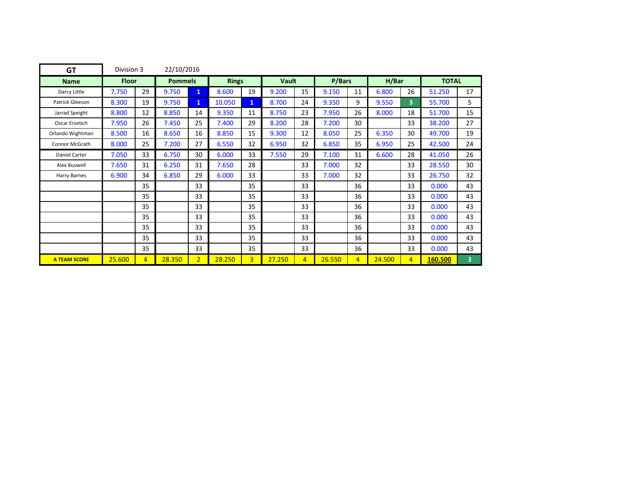| <b>GT</b>             | Division 3   |                | 22/10/2016     |                |              |                |              |                |        |                |        |                |              |    |
|-----------------------|--------------|----------------|----------------|----------------|--------------|----------------|--------------|----------------|--------|----------------|--------|----------------|--------------|----|
| <b>Name</b>           | <b>Floor</b> |                | <b>Pommels</b> |                | <b>Rings</b> |                | <b>Vault</b> |                | P/Bars |                | H/Bar  |                | <b>TOTAL</b> |    |
| Darcy Little          | 7.750        | 29             | 9.750          | $\mathbf{1}$   | 8.600        | 19             | 9.200        | 15             | 9.150  | 11             | 6.800  | 26             | 51.250       | 17 |
| Patrick Gleeson       | 8.300        | 19             | 9.750          | $\mathbf{1}$   | 10.050       | $\mathbf{1}$   | 8.700        | 24             | 9.350  | 9              | 9.550  | 3              | 55.700       | 5  |
| Jarrad Speight        | 8.800        | 12             | 8.850          | 14             | 9.350        | 11             | 8.750        | 23             | 7.950  | 26             | 8.000  | 18             | 51.700       | 15 |
| Oscar Erzetich        | 7.950        | 26             | 7.450          | 25             | 7.400        | 29             | 8.200        | 28             | 7.200  | 30             |        | 33             | 38.200       | 27 |
| Orlando Wightman      | 8.500        | 16             | 8.650          | 16             | 8.850        | 15             | 9.300        | 12             | 8.050  | 25             | 6.350  | 30             | 49.700       | 19 |
| <b>Connor McGrath</b> | 8.000        | 25             | 7.200          | 27             | 6.550        | 32             | 6.950        | 32             | 6.850  | 35             | 6.950  | 25             | 42.500       | 24 |
| Daniel Carter         | 7.050        | 33             | 6.750          | 30             | 6.000        | 33             | 7.550        | 29             | 7.100  | 31             | 6.600  | 28             | 41.050       | 26 |
| Alex Buswell          | 7.650        | 31             | 6.250          | 31             | 7.650        | 28             |              | 33             | 7.000  | 32             |        | 33             | 28.550       | 30 |
| Harry Barnes          | 6.900        | 34             | 6.850          | 29             | 6.000        | 33             |              | 33             | 7.000  | 32             |        | 33             | 26.750       | 32 |
|                       |              | 35             |                | 33             |              | 35             |              | 33             |        | 36             |        | 33             | 0.000        | 43 |
|                       |              | 35             |                | 33             |              | 35             |              | 33             |        | 36             |        | 33             | 0.000        | 43 |
|                       |              | 35             |                | 33             |              | 35             |              | 33             |        | 36             |        | 33             | 0.000        | 43 |
|                       |              | 35             |                | 33             |              | 35             |              | 33             |        | 36             |        | 33             | 0.000        | 43 |
|                       |              | 35             |                | 33             |              | 35             |              | 33             |        | 36             |        | 33             | 0.000        | 43 |
|                       |              | 35             |                | 33             |              | 35             |              | 33             |        | 36             |        | 33             | 0.000        | 43 |
|                       |              | 35             |                | 33             |              | 35             |              | 33             |        | 36             |        | 33             | 0.000        | 43 |
| <b>A TEAM SCORE</b>   | 25.600       | $\overline{4}$ | 28.350         | $\overline{2}$ | 28.250       | $\overline{3}$ | 27.250       | $\overline{4}$ | 26.550 | $\overline{4}$ | 24.500 | $\overline{4}$ | 160.500      | 3  |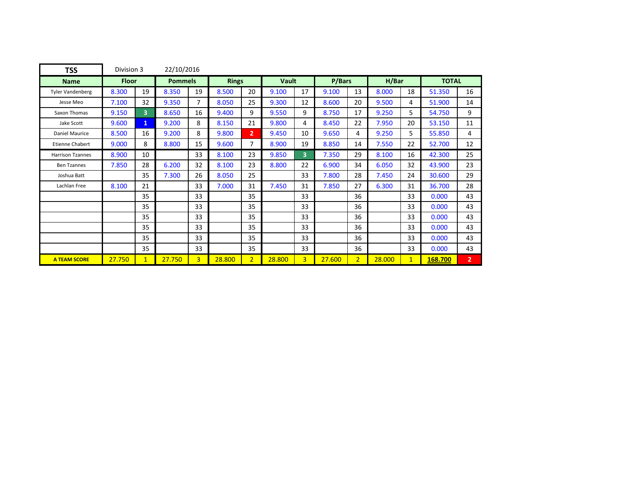| <b>TSS</b>              | Division 3   |              | 22/10/2016     |                |              |                |        |                |        |                |        |              |              |                |
|-------------------------|--------------|--------------|----------------|----------------|--------------|----------------|--------|----------------|--------|----------------|--------|--------------|--------------|----------------|
| <b>Name</b>             | <b>Floor</b> |              | <b>Pommels</b> |                | <b>Rings</b> |                | Vault  |                | P/Bars |                | H/Bar  |              | <b>TOTAL</b> |                |
| <b>Tyler Vandenberg</b> | 8.300        | 19           | 8.350          | 19             | 8.500        | 20             | 9.100  | 17             | 9.100  | 13             | 8.000  | 18           | 51.350       | 16             |
| Jesse Meo               | 7.100        | 32           | 9.350          | 7              | 8.050        | 25             | 9.300  | 12             | 8.600  | 20             | 9.500  | 4            | 51.900       | 14             |
| Saxon Thomas            | 9.150        | 3            | 8.650          | 16             | 9.400        | 9              | 9.550  | 9              | 8.750  | 17             | 9.250  | 5            | 54.750       | 9              |
| Jake Scott              | 9.600        | $\mathbf{1}$ | 9.200          | 8              | 8.150        | 21             | 9.800  | 4              | 8.450  | 22             | 7.950  | 20           | 53.150       | 11             |
| <b>Daniel Maurice</b>   | 8.500        | 16           | 9.200          | 8              | 9.800        | 2 <sup>1</sup> | 9.450  | 10             | 9.650  | 4              | 9.250  | 5            | 55.850       | 4              |
| <b>Etienne Chabert</b>  | 9.000        | 8            | 8.800          | 15             | 9.600        | 7              | 8.900  | 19             | 8.850  | 14             | 7.550  | 22           | 52.700       | 12             |
| <b>Harrison Tzannes</b> | 8.900        | 10           |                | 33             | 8.100        | 23             | 9.850  | 3              | 7.350  | 29             | 8.100  | 16           | 42.300       | 25             |
| <b>Ben Tzannes</b>      | 7.850        | 28           | 6.200          | 32             | 8.100        | 23             | 8.800  | 22             | 6.900  | 34             | 6.050  | 32           | 43.900       | 23             |
| Joshua Batt             |              | 35           | 7.300          | 26             | 8.050        | 25             |        | 33             | 7.800  | 28             | 7.450  | 24           | 30.600       | 29             |
| Lachlan Free            | 8.100        | 21           |                | 33             | 7.000        | 31             | 7.450  | 31             | 7.850  | 27             | 6.300  | 31           | 36.700       | 28             |
|                         |              | 35           |                | 33             |              | 35             |        | 33             |        | 36             |        | 33           | 0.000        | 43             |
|                         |              | 35           |                | 33             |              | 35             |        | 33             |        | 36             |        | 33           | 0.000        | 43             |
|                         |              | 35           |                | 33             |              | 35             |        | 33             |        | 36             |        | 33           | 0.000        | 43             |
|                         |              | 35           |                | 33             |              | 35             |        | 33             |        | 36             |        | 33           | 0.000        | 43             |
|                         |              | 35           |                | 33             |              | 35             |        | 33             |        | 36             |        | 33           | 0.000        | 43             |
|                         |              | 35           |                | 33             |              | 35             |        | 33             |        | 36             |        | 33           | 0.000        | 43             |
| <b>A TEAM SCORE</b>     | 27.750       | 1            | 27.750         | $\overline{3}$ | 28.800       | $\overline{2}$ | 28.800 | $\overline{3}$ | 27.600 | 2 <sup>1</sup> | 28.000 | $\mathbf{1}$ | 168.700      | $\overline{2}$ |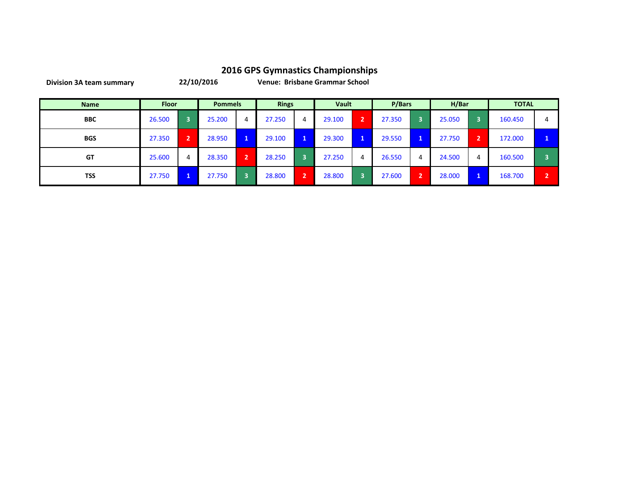| <b>Name</b> | <b>Floor</b> |                | <b>Pommels</b> |   | <b>Rings</b> |    | Vault  |                | P/Bars |   | H/Bar  |   | <b>TOTAL</b> |   |
|-------------|--------------|----------------|----------------|---|--------------|----|--------|----------------|--------|---|--------|---|--------------|---|
| <b>BBC</b>  | 26.500       | З              | 25.200         | 4 | 27.250       | 4  | 29.100 | $\overline{2}$ | 27.350 |   | 25.050 | 3 | 160.450      |   |
| <b>BGS</b>  | 27.350       | $\overline{2}$ | 28.950         |   | 29.100       | U  | 29.300 | 1              | 29.550 | 1 | 27.750 | 2 | 172.000      |   |
| GT          | 25.600       | 4              | 28.350         | ຳ | 28.250       | 3  | 27.250 | 4              | 26.550 | 4 | 24.500 | 4 | 160.500      |   |
| <b>TSS</b>  | 27.750       |                | 27.750         |   | 28.800       | 12 | 28.800 | 3              | 27.600 | ∍ | 28.000 |   | 168.700      | ∍ |

**Division 3A team summary**

**22/10/2016 Venue: Brisbane Grammar School**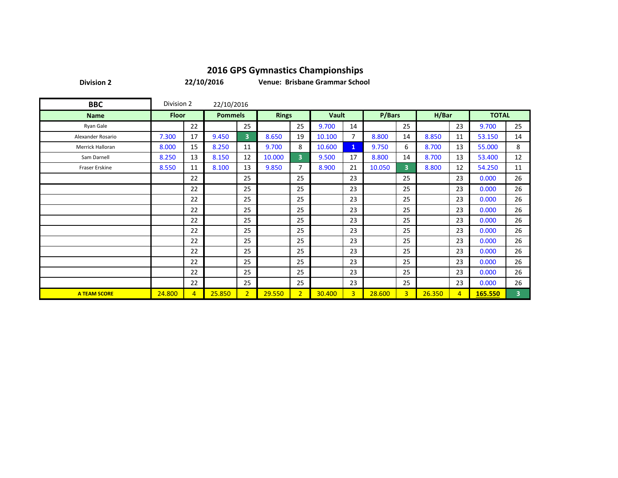**Division 2**

**22/10/2016**

**Venue: Brisbane Grammar School**

| <b>BBC</b>          | Division 2   |                | 22/10/2016     |                |              |                |              |                |        |                |        |                |              |                |
|---------------------|--------------|----------------|----------------|----------------|--------------|----------------|--------------|----------------|--------|----------------|--------|----------------|--------------|----------------|
| <b>Name</b>         | <b>Floor</b> |                | <b>Pommels</b> |                | <b>Rings</b> |                | <b>Vault</b> |                | P/Bars |                | H/Bar  |                | <b>TOTAL</b> |                |
| Ryan Gale           |              | 22             |                | 25             |              | 25             | 9.700        | 14             |        | 25             |        | 23             | 9.700        | 25             |
| Alexander Rosario   | 7.300        | 17             | 9.450          | 3              | 8.650        | 19             | 10.100       | $\overline{7}$ | 8.800  | 14             | 8.850  | 11             | 53.150       | 14             |
| Merrick Halloran    | 8.000        | 15             | 8.250          | 11             | 9.700        | 8              | 10.600       | $\mathbf{1}$   | 9.750  | 6              | 8.700  | 13             | 55.000       | 8              |
| Sam Darnell         | 8.250        | 13             | 8.150          | 12             | 10.000       | 3              | 9.500        | 17             | 8.800  | 14             | 8.700  | 13             | 53.400       | 12             |
| Fraser Erskine      | 8.550        | 11             | 8.100          | 13             | 9.850        | 7              | 8.900        | 21             | 10.050 | $\overline{3}$ | 8.800  | 12             | 54.250       | 11             |
|                     |              | 22             |                | 25             |              | 25             |              | 23             |        | 25             |        | 23             | 0.000        | 26             |
|                     |              | 22             |                | 25             |              | 25             |              | 23             |        | 25             |        | 23             | 0.000        | 26             |
|                     |              | 22             |                | 25             |              | 25             |              | 23             |        | 25             |        | 23             | 0.000        | 26             |
|                     |              | 22             |                | 25             |              | 25             |              | 23             |        | 25             |        | 23             | 0.000        | 26             |
|                     |              | 22             |                | 25             |              | 25             |              | 23             |        | 25             |        | 23             | 0.000        | 26             |
|                     |              | 22             |                | 25             |              | 25             |              | 23             |        | 25             |        | 23             | 0.000        | 26             |
|                     |              | 22             |                | 25             |              | 25             |              | 23             |        | 25             |        | 23             | 0.000        | 26             |
|                     |              | 22             |                | 25             |              | 25             |              | 23             |        | 25             |        | 23             | 0.000        | 26             |
|                     |              | 22             |                | 25             |              | 25             |              | 23             |        | 25             |        | 23             | 0.000        | 26             |
|                     |              | 22             |                | 25             |              | 25             |              | 23             |        | 25             |        | 23             | 0.000        | 26             |
|                     |              | 22             |                | 25             |              | 25             |              | 23             |        | 25             |        | 23             | 0.000        | 26             |
| <b>A TEAM SCORE</b> | 24.800       | $\overline{4}$ | 25.850         | $\overline{2}$ | 29.550       | $\overline{2}$ | 30.400       | $\overline{3}$ | 28.600 | 3 <sup>1</sup> | 26.350 | $\overline{4}$ | 165.550      | $\overline{3}$ |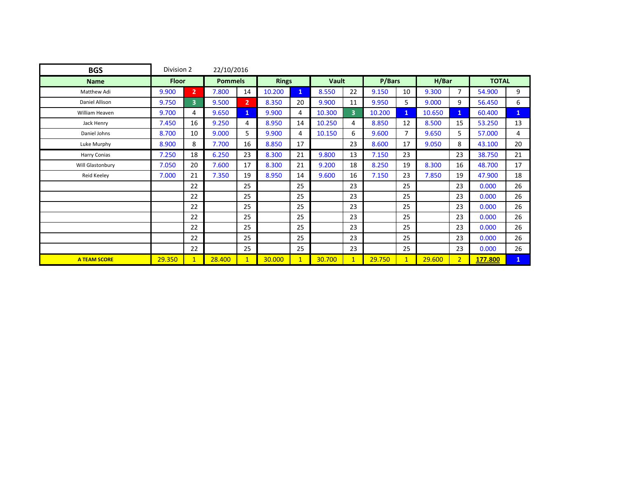| <b>BGS</b>          | Division 2   |                         | 22/10/2016     |                |              |              |        |                |        |                |        |                |              |              |
|---------------------|--------------|-------------------------|----------------|----------------|--------------|--------------|--------|----------------|--------|----------------|--------|----------------|--------------|--------------|
| <b>Name</b>         | <b>Floor</b> |                         | <b>Pommels</b> |                | <b>Rings</b> |              | Vault  |                | P/Bars |                | H/Bar  |                | <b>TOTAL</b> |              |
| Matthew Adi         | 9.900        | $\overline{2}$          | 7.800          | 14             | 10.200       | $\mathbf{1}$ | 8.550  | 22             | 9.150  | 10             | 9.300  | $\overline{7}$ | 54.900       | 9            |
| Daniel Allison      | 9.750        | $\overline{\mathbf{3}}$ | 9.500          | $\overline{2}$ | 8.350        | 20           | 9.900  | 11             | 9.950  | 5              | 9.000  | 9              | 56.450       | 6            |
| William Heaven      | 9.700        | 4                       | 9.650          | $\mathbf{1}$   | 9.900        | 4            | 10.300 | $\overline{3}$ | 10.200 | $\mathbf{1}$   | 10.650 | $\mathbf{1}$   | 60.400       | $\mathbf{1}$ |
| Jack Henry          | 7.450        | 16                      | 9.250          | 4              | 8.950        | 14           | 10.250 | 4              | 8.850  | 12             | 8.500  | 15             | 53.250       | 13           |
| Daniel Johns        | 8.700        | 10                      | 9.000          | 5              | 9.900        | 4            | 10.150 | 6              | 9.600  | $\overline{7}$ | 9.650  | 5              | 57.000       | 4            |
| Luke Murphy         | 8.900        | 8                       | 7.700          | 16             | 8.850        | 17           |        | 23             | 8.600  | 17             | 9.050  | 8              | 43.100       | 20           |
| Harry Conias        | 7.250        | 18                      | 6.250          | 23             | 8.300        | 21           | 9.800  | 13             | 7.150  | 23             |        | 23             | 38.750       | 21           |
| Will Glastonbury    | 7.050        | 20                      | 7.600          | 17             | 8.300        | 21           | 9.200  | 18             | 8.250  | 19             | 8.300  | 16             | 48.700       | 17           |
| Reid Keeley         | 7.000        | 21                      | 7.350          | 19             | 8.950        | 14           | 9.600  | 16             | 7.150  | 23             | 7.850  | 19             | 47.900       | 18           |
|                     |              | 22                      |                | 25             |              | 25           |        | 23             |        | 25             |        | 23             | 0.000        | 26           |
|                     |              | 22                      |                | 25             |              | 25           |        | 23             |        | 25             |        | 23             | 0.000        | 26           |
|                     |              | 22                      |                | 25             |              | 25           |        | 23             |        | 25             |        | 23             | 0.000        | 26           |
|                     |              | 22                      |                | 25             |              | 25           |        | 23             |        | 25             |        | 23             | 0.000        | 26           |
|                     |              | 22                      |                | 25             |              | 25           |        | 23             |        | 25             |        | 23             | 0.000        | 26           |
|                     |              | 22                      |                | 25             |              | 25           |        | 23             |        | 25             |        | 23             | 0.000        | 26           |
|                     |              | 22                      |                | 25             |              | 25           |        | 23             |        | 25             |        | 23             | 0.000        | 26           |
| <b>A TEAM SCORE</b> | 29.350       | $\mathbf{1}$            | 28,400         | $\mathbf{1}$   | 30.000       | $\mathbf{1}$ | 30.700 | $\mathbf{1}$   | 29.750 | $\mathbf{1}$   | 29.600 | 2 <sup>1</sup> | 177.800      | $\mathbf{1}$ |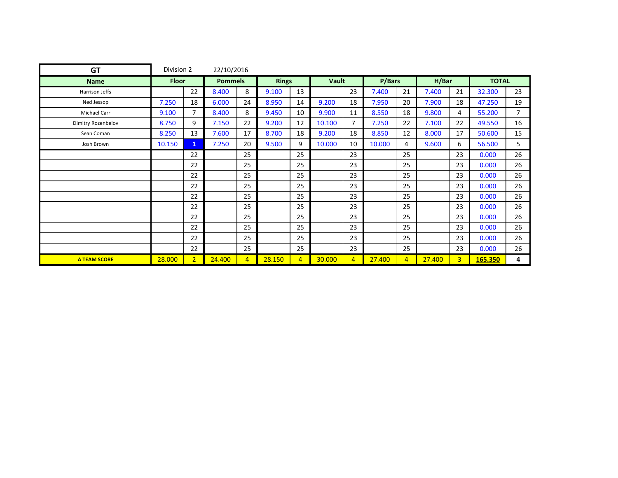| <b>GT</b>           | Division 2   |                | 22/10/2016     |                |              |                |        |                |        |                |        |                |              |                |
|---------------------|--------------|----------------|----------------|----------------|--------------|----------------|--------|----------------|--------|----------------|--------|----------------|--------------|----------------|
| <b>Name</b>         | <b>Floor</b> |                | <b>Pommels</b> |                | <b>Rings</b> |                | Vault  |                | P/Bars |                | H/Bar  |                | <b>TOTAL</b> |                |
| Harrison Jeffs      |              | 22             | 8.400          | 8              | 9.100        | 13             |        | 23             | 7.400  | 21             | 7.400  | 21             | 32.300       | 23             |
| Ned Jessop          | 7.250        | 18             | 6.000          | 24             | 8.950        | 14             | 9.200  | 18             | 7.950  | 20             | 7.900  | 18             | 47.250       | 19             |
| Michael Carr        | 9.100        | 7              | 8.400          | 8              | 9.450        | 10             | 9.900  | 11             | 8.550  | 18             | 9.800  | 4              | 55.200       | $\overline{7}$ |
| Dimitry Rozenbelov  | 8.750        | 9              | 7.150          | 22             | 9.200        | 12             | 10.100 | $\overline{7}$ | 7.250  | 22             | 7.100  | 22             | 49.550       | 16             |
| Sean Coman          | 8.250        | 13             | 7.600          | 17             | 8.700        | 18             | 9.200  | 18             | 8.850  | 12             | 8.000  | 17             | 50.600       | 15             |
| Josh Brown          | 10.150       | 1              | 7.250          | 20             | 9.500        | 9              | 10.000 | 10             | 10.000 | 4              | 9.600  | 6              | 56.500       | 5.             |
|                     |              | 22             |                | 25             |              | 25             |        | 23             |        | 25             |        | 23             | 0.000        | 26             |
|                     |              | 22             |                | 25             |              | 25             |        | 23             |        | 25             |        | 23             | 0.000        | 26             |
|                     |              | 22             |                | 25             |              | 25             |        | 23             |        | 25             |        | 23             | 0.000        | 26             |
|                     |              | 22             |                | 25             |              | 25             |        | 23             |        | 25             |        | 23             | 0.000        | 26             |
|                     |              | 22             |                | 25             |              | 25             |        | 23             |        | 25             |        | 23             | 0.000        | 26             |
|                     |              | 22             |                | 25             |              | 25             |        | 23             |        | 25             |        | 23             | 0.000        | 26             |
|                     |              | 22             |                | 25             |              | 25             |        | 23             |        | 25             |        | 23             | 0.000        | 26             |
|                     |              | 22             |                | 25             |              | 25             |        | 23             |        | 25             |        | 23             | 0.000        | 26             |
|                     |              | 22             |                | 25             |              | 25             |        | 23             |        | 25             |        | 23             | 0.000        | 26             |
|                     |              | 22             |                | 25             |              | 25             |        | 23             |        | 25             |        | 23             | 0.000        | 26             |
| <b>A TEAM SCORE</b> | 28.000       | $\overline{2}$ | 24,400         | $\overline{4}$ | 28.150       | $\overline{4}$ | 30.000 | $\overline{4}$ | 27,400 | $\overline{4}$ | 27.400 | 3 <sup>1</sup> | 165.350      | 4              |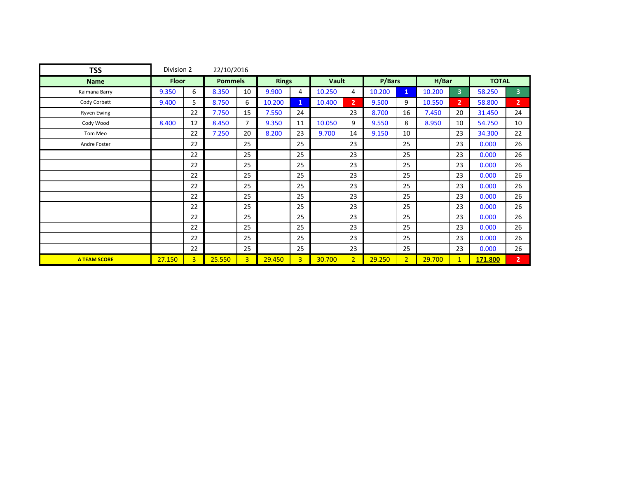| <b>TSS</b>          | Division 2   |                | 22/10/2016     |                |              |                |        |                |        |                |        |                |              |                |
|---------------------|--------------|----------------|----------------|----------------|--------------|----------------|--------|----------------|--------|----------------|--------|----------------|--------------|----------------|
| <b>Name</b>         | <b>Floor</b> |                | <b>Pommels</b> |                | <b>Rings</b> |                | Vault  |                | P/Bars |                | H/Bar  |                | <b>TOTAL</b> |                |
| Kaimana Barry       | 9.350        | 6              | 8.350          | 10             | 9.900        | 4              | 10.250 | 4              | 10.200 | $\mathbf{1}$   | 10.200 | 3 <sup>1</sup> | 58.250       | 3              |
| Cody Corbett        | 9.400        | 5              | 8.750          | 6              | 10.200       | $\mathbf{1}$   | 10.400 | 2 <sup>1</sup> | 9.500  | 9              | 10.550 | 2 <sup>1</sup> | 58.800       | $\overline{2}$ |
| <b>Ryven Ewing</b>  |              | 22             | 7.750          | 15             | 7.550        | 24             |        | 23             | 8.700  | 16             | 7.450  | 20             | 31.450       | 24             |
| Cody Wood           | 8.400        | 12             | 8.450          | $\overline{7}$ | 9.350        | 11             | 10.050 | 9              | 9.550  | 8              | 8.950  | 10             | 54.750       | 10             |
| Tom Meo             |              | 22             | 7.250          | 20             | 8.200        | 23             | 9.700  | 14             | 9.150  | 10             |        | 23             | 34.300       | 22             |
| Andre Foster        |              | 22             |                | 25             |              | 25             |        | 23             |        | 25             |        | 23             | 0.000        | 26             |
|                     |              | 22             |                | 25             |              | 25             |        | 23             |        | 25             |        | 23             | 0.000        | 26             |
|                     |              | 22             |                | 25             |              | 25             |        | 23             |        | 25             |        | 23             | 0.000        | 26             |
|                     |              | 22             |                | 25             |              | 25             |        | 23             |        | 25             |        | 23             | 0.000        | 26             |
|                     |              | 22             |                | 25             |              | 25             |        | 23             |        | 25             |        | 23             | 0.000        | 26             |
|                     |              | 22             |                | 25             |              | 25             |        | 23             |        | 25             |        | 23             | 0.000        | 26             |
|                     |              | 22             |                | 25             |              | 25             |        | 23             |        | 25             |        | 23             | 0.000        | 26             |
|                     |              | 22             |                | 25             |              | 25             |        | 23             |        | 25             |        | 23             | 0.000        | 26             |
|                     |              | 22             |                | 25             |              | 25             |        | 23             |        | 25             |        | 23             | 0.000        | 26             |
|                     |              | 22             |                | 25             |              | 25             |        | 23             |        | 25             |        | 23             | 0.000        | 26             |
|                     |              | 22             |                | 25             |              | 25             |        | 23             |        | 25             |        | 23             | 0.000        | 26             |
| <b>A TEAM SCORE</b> | 27.150       | $\overline{3}$ | 25.550         | $\overline{3}$ | 29.450       | $\overline{3}$ | 30.700 | 2 <sup>1</sup> | 29.250 | 2 <sup>1</sup> | 29.700 | $\mathbf{1}$   | 171.800      | $\overline{2}$ |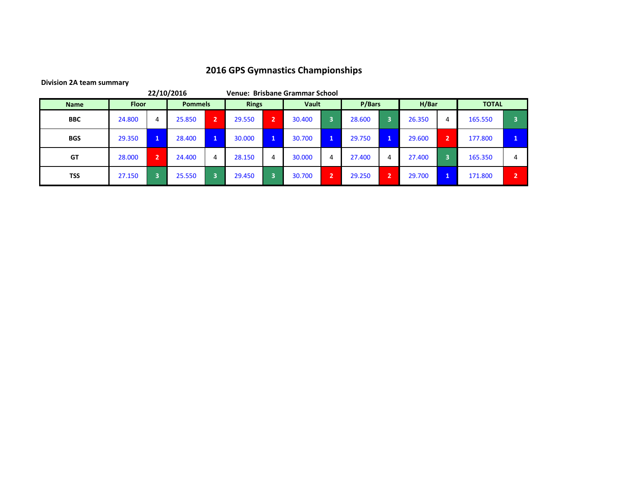|             |              |    | 22/10/2016     |              |              |   | Venue: Brisbane Grammar School |                       |        |   |        |                |              |                |
|-------------|--------------|----|----------------|--------------|--------------|---|--------------------------------|-----------------------|--------|---|--------|----------------|--------------|----------------|
| <b>Name</b> | <b>Floor</b> |    | <b>Pommels</b> |              | <b>Rings</b> |   | Vault                          |                       | P/Bars |   | H/Bar  |                | <b>TOTAL</b> |                |
| <b>BBC</b>  | 24.800       | 4  | 25.850         | $\mathbf{2}$ | 29.550       | 2 | 30.400                         |                       | 28.600 | Б | 26.350 | 4              | 165.550      |                |
| <b>BGS</b>  | 29.350       | U. | 28.400         | $\mathbf{1}$ | 30.000       | Ъ | 30.700                         | $\mathbf{1}^{\prime}$ | 29.750 |   | 29.600 | $\overline{2}$ | 177.800      | ×.             |
| <b>GT</b>   | 28,000       | 2  | 24.400         | 4            | 28.150       | 4 | 30.000                         | 4                     | 27.400 | 4 | 27.400 |                | 165.350      | 4              |
| <b>TSS</b>  | 27.150       | 3  | 25.550         | 3            | 29.450       | n | 30.700                         | h                     | 29.250 | n | 29.700 |                | 171.800      | $\overline{2}$ |

**Division 2A team summary**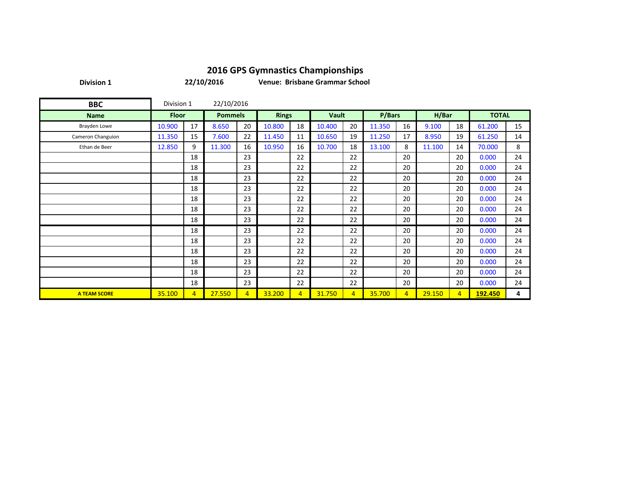**Division 1**

**22/10/2016**

**Venue: Brisbane Grammar School**

| <b>BBC</b>          | Division 1   |                | 22/10/2016     |                |              |                |              |                |        |                |        |                |              |    |
|---------------------|--------------|----------------|----------------|----------------|--------------|----------------|--------------|----------------|--------|----------------|--------|----------------|--------------|----|
| <b>Name</b>         | <b>Floor</b> |                | <b>Pommels</b> |                | <b>Rings</b> |                | <b>Vault</b> |                | P/Bars |                | H/Bar  |                | <b>TOTAL</b> |    |
| Brayden Lowe        | 10.900       | 17             | 8.650          | 20             | 10.800       | 18             | 10.400       | 20             | 11.350 | 16             | 9.100  | 18             | 61.200       | 15 |
| Cameron Changuion   | 11.350       | 15             | 7.600          | 22             | 11.450       | 11             | 10.650       | 19             | 11.250 | 17             | 8.950  | 19             | 61.250       | 14 |
| Ethan de Beer       | 12.850       | 9              | 11.300         | 16             | 10.950       | 16             | 10.700       | 18             | 13.100 | 8              | 11.100 | 14             | 70.000       | 8  |
|                     |              | 18             |                | 23             |              | 22             |              | 22             |        | 20             |        | 20             | 0.000        | 24 |
|                     |              | 18             |                | 23             |              | 22             |              | 22             |        | 20             |        | 20             | 0.000        | 24 |
|                     |              | 18             |                | 23             |              | 22             |              | 22             |        | 20             |        | 20             | 0.000        | 24 |
|                     |              | 18             |                | 23             |              | 22             |              | 22             |        | 20             |        | 20             | 0.000        | 24 |
|                     |              | 18             |                | 23             |              | 22             |              | 22             |        | 20             |        | 20             | 0.000        | 24 |
|                     |              | 18             |                | 23             |              | 22             |              | 22             |        | 20             |        | 20             | 0.000        | 24 |
|                     |              | 18             |                | 23             |              | 22             |              | 22             |        | 20             |        | 20             | 0.000        | 24 |
|                     |              | 18             |                | 23             |              | 22             |              | 22             |        | 20             |        | 20             | 0.000        | 24 |
|                     |              | 18             |                | 23             |              | 22             |              | 22             |        | 20             |        | 20             | 0.000        | 24 |
|                     |              | 18             |                | 23             |              | 22             |              | 22             |        | 20             |        | 20             | 0.000        | 24 |
|                     |              | 18             |                | 23             |              | 22             |              | 22             |        | 20             |        | 20             | 0.000        | 24 |
|                     |              | 18             |                | 23             |              | 22             |              | 22             |        | 20             |        | 20             | 0.000        | 24 |
|                     |              | 18             |                | 23             |              | 22             |              | 22             |        | 20             |        | 20             | 0.000        | 24 |
| <b>A TEAM SCORE</b> | 35.100       | $\overline{4}$ | 27.550         | $\overline{4}$ | 33.200       | $\overline{4}$ | 31.750       | $\overline{4}$ | 35.700 | $\overline{4}$ | 29.150 | $\overline{4}$ | 192.450      | 4  |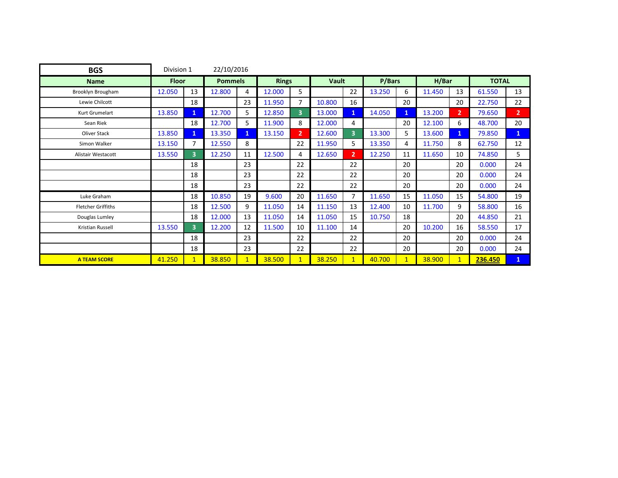| <b>BGS</b>                | 22/10/2016<br>Division 1 |    |                |              |              |                |        |                |        |              |        |                |              |                |
|---------------------------|--------------------------|----|----------------|--------------|--------------|----------------|--------|----------------|--------|--------------|--------|----------------|--------------|----------------|
| <b>Name</b>               | <b>Floor</b>             |    | <b>Pommels</b> |              | <b>Rings</b> |                | Vault  |                | P/Bars |              | H/Bar  |                | <b>TOTAL</b> |                |
| Brooklyn Brougham         | 12.050                   | 13 | 12.800         | 4            | 12.000       | 5.             |        | 22             | 13.250 | 6            | 11.450 | 13             | 61.550       | 13             |
| Lewie Chilcott            |                          | 18 |                | 23           | 11.950       | $\overline{7}$ | 10.800 | 16             |        | 20           |        | 20             | 22.750       | 22             |
| Kurt Grumelart            | 13.850                   | 1  | 12.700         | 5.           | 12.850       | $\overline{3}$ | 13.000 | $\mathbf{1}$   | 14.050 | $\mathbf{1}$ | 13.200 | 2 <sup>1</sup> | 79.650       | 2 <sup>1</sup> |
| Sean Riek                 |                          | 18 | 12.700         | 5.           | 11.900       | 8              | 12.000 | 4              |        | 20           | 12.100 | 6              | 48.700       | 20             |
| Oliver Stack              | 13.850                   | 1  | 13.350         | 1            | 13.150       | $\overline{2}$ | 12.600 | $\overline{3}$ | 13.300 | 5            | 13.600 | $\mathbf{1}$   | 79.850       | $\mathbf{1}$   |
| Simon Walker              | 13.150                   | 7  | 12.550         | 8            |              | 22             | 11.950 | 5              | 13.350 | 4            | 11.750 | 8              | 62.750       | 12             |
| <b>Alistair Westacott</b> | 13.550                   | 3  | 12.250         | 11           | 12.500       | 4              | 12.650 | 2 <sup>1</sup> | 12.250 | 11           | 11.650 | 10             | 74.850       | 5              |
|                           |                          | 18 |                | 23           |              | 22             |        | 22             |        | 20           |        | 20             | 0.000        | 24             |
|                           |                          | 18 |                | 23           |              | 22             |        | 22             |        | 20           |        | 20             | 0.000        | 24             |
|                           |                          | 18 |                | 23           |              | 22             |        | 22             |        | 20           |        | 20             | 0.000        | 24             |
| Luke Graham               |                          | 18 | 10.850         | 19           | 9.600        | 20             | 11.650 | $\overline{7}$ | 11.650 | 15           | 11.050 | 15             | 54.800       | 19             |
| <b>Fletcher Griffiths</b> |                          | 18 | 12.500         | 9            | 11.050       | 14             | 11.150 | 13             | 12.400 | 10           | 11.700 | 9              | 58.800       | 16             |
| Douglas Lumley            |                          | 18 | 12.000         | 13           | 11.050       | 14             | 11.050 | 15             | 10.750 | 18           |        | 20             | 44.850       | 21             |
| Kristian Russell          | 13.550                   | 3  | 12.200         | 12           | 11.500       | 10             | 11.100 | 14             |        | 20           | 10.200 | 16             | 58.550       | 17             |
|                           |                          | 18 |                | 23           |              | 22             |        | 22             |        | 20           |        | 20             | 0.000        | 24             |
|                           |                          | 18 |                | 23           |              | 22             |        | 22             |        | 20           |        | 20             | 0.000        | 24             |
| <b>A TEAM SCORE</b>       | 41.250                   |    | 38.850         | $\mathbf{1}$ | 38.500       | $\mathbf{1}$   | 38.250 | $\mathbf{1}$   | 40.700 | $\mathbf{1}$ | 38.900 | $\mathbf{1}$   | 236.450      | $\mathbf{1}$   |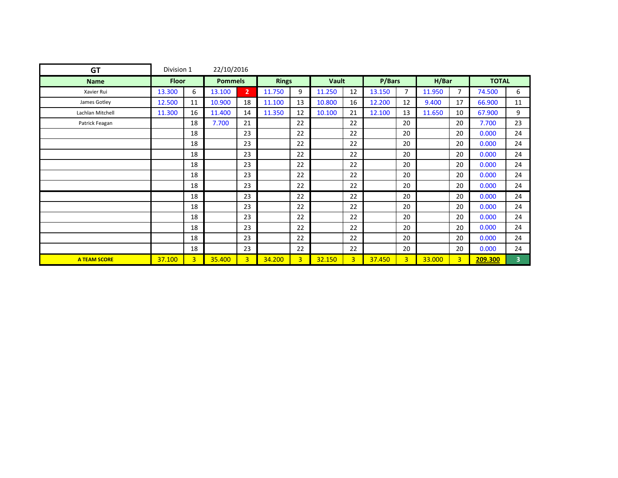| <b>GT</b>           | Division 1   |    | 22/10/2016     |                |              |                |        |                |        |                |        |                |              |                         |
|---------------------|--------------|----|----------------|----------------|--------------|----------------|--------|----------------|--------|----------------|--------|----------------|--------------|-------------------------|
| <b>Name</b>         | <b>Floor</b> |    | <b>Pommels</b> |                | <b>Rings</b> |                | Vault  |                | P/Bars |                | H/Bar  |                | <b>TOTAL</b> |                         |
| Xavier Rui          | 13.300       | 6  | 13.100         | $\overline{2}$ | 11.750       | 9              | 11.250 | 12             | 13.150 | $\overline{7}$ | 11.950 | $\overline{7}$ | 74.500       | 6                       |
| James Gotley        | 12.500       | 11 | 10.900         | 18             | 11.100       | 13             | 10.800 | 16             | 12.200 | 12             | 9.400  | 17             | 66.900       | 11                      |
| Lachlan Mitchell    | 11.300       | 16 | 11.400         | 14             | 11.350       | 12             | 10.100 | 21             | 12.100 | 13             | 11.650 | 10             | 67.900       | 9                       |
| Patrick Feagan      |              | 18 | 7.700          | 21             |              | 22             |        | 22             |        | 20             |        | 20             | 7.700        | 23                      |
|                     |              | 18 |                | 23             |              | 22             |        | 22             |        | 20             |        | 20             | 0.000        | 24                      |
|                     |              | 18 |                | 23             |              | 22             |        | 22             |        | 20             |        | 20             | 0.000        | 24                      |
|                     |              | 18 |                | 23             |              | 22             |        | 22             |        | 20             |        | 20             | 0.000        | 24                      |
|                     |              | 18 |                | 23             |              | 22             |        | 22             |        | 20             |        | 20             | 0.000        | 24                      |
|                     |              | 18 |                | 23             |              | 22             |        | 22             |        | 20             |        | 20             | 0.000        | 24                      |
|                     |              | 18 |                | 23             |              | 22             |        | 22             |        | 20             |        | 20             | 0.000        | 24                      |
|                     |              | 18 |                | 23             |              | 22             |        | 22             |        | 20             |        | 20             | 0.000        | 24                      |
|                     |              | 18 |                | 23             |              | 22             |        | 22             |        | 20             |        | 20             | 0.000        | 24                      |
|                     |              | 18 |                | 23             |              | 22             |        | 22             |        | 20             |        | 20             | 0.000        | 24                      |
|                     |              | 18 |                | 23             |              | 22             |        | 22             |        | 20             |        | 20             | 0.000        | 24                      |
|                     |              | 18 |                | 23             |              | 22             |        | 22             |        | 20             |        | 20             | 0.000        | 24                      |
|                     |              | 18 |                | 23             |              | 22             |        | 22             |        | 20             |        | 20             | 0.000        | 24                      |
| <b>A TEAM SCORE</b> | 37.100       | 3  | 35.400         | $\overline{3}$ | 34.200       | 3 <sup>1</sup> | 32.150 | 3 <sup>1</sup> | 37.450 | 3 <sup>1</sup> | 33.000 | $\overline{3}$ | 209.300      | $\overline{\mathbf{3}}$ |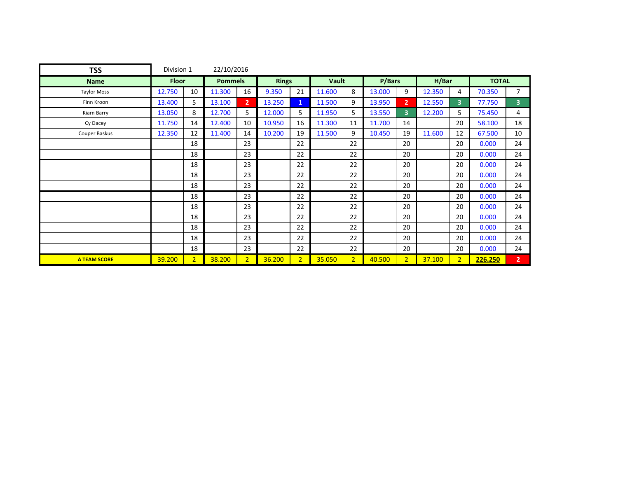| <b>TSS</b>          | Division 1   |                | 22/10/2016     |                |              |                |        |                |        |                |        |                |              |                |
|---------------------|--------------|----------------|----------------|----------------|--------------|----------------|--------|----------------|--------|----------------|--------|----------------|--------------|----------------|
| <b>Name</b>         | <b>Floor</b> |                | <b>Pommels</b> |                | <b>Rings</b> |                | Vault  |                | P/Bars |                | H/Bar  |                | <b>TOTAL</b> |                |
| <b>Taylor Moss</b>  | 12.750       | 10             | 11.300         | 16             | 9.350        | 21             | 11.600 | 8              | 13.000 | 9              | 12.350 | 4              | 70.350       | $\overline{7}$ |
| Finn Kroon          | 13.400       | 5              | 13.100         | $\overline{2}$ | 13.250       | $\mathbf{1}$   | 11.500 | 9              | 13.950 | 2 <sup>1</sup> | 12.550 | 3 <sup>1</sup> | 77.750       | 3 <sup>1</sup> |
| Kiarn Barry         | 13.050       | 8              | 12.700         | 5.             | 12.000       | 5              | 11.950 | 5              | 13.550 | $\overline{3}$ | 12.200 | 5              | 75.450       | 4              |
| Cy Dacey            | 11.750       | 14             | 12.400         | 10             | 10.950       | 16             | 11.300 | 11             | 11.700 | 14             |        | 20             | 58.100       | 18             |
| Couper Baskus       | 12.350       | 12             | 11.400         | 14             | 10.200       | 19             | 11.500 | 9              | 10.450 | 19             | 11.600 | 12             | 67.500       | 10             |
|                     |              | 18             |                | 23             |              | 22             |        | 22             |        | 20             |        | 20             | 0.000        | 24             |
|                     |              | 18             |                | 23             |              | 22             |        | 22             |        | 20             |        | 20             | 0.000        | 24             |
|                     |              | 18             |                | 23             |              | 22             |        | 22             |        | 20             |        | 20             | 0.000        | 24             |
|                     |              | 18             |                | 23             |              | 22             |        | 22             |        | 20             |        | 20             | 0.000        | 24             |
|                     |              | 18             |                | 23             |              | 22             |        | 22             |        | 20             |        | 20             | 0.000        | 24             |
|                     |              | 18             |                | 23             |              | 22             |        | 22             |        | 20             |        | 20             | 0.000        | 24             |
|                     |              | 18             |                | 23             |              | 22             |        | 22             |        | 20             |        | 20             | 0.000        | 24             |
|                     |              | 18             |                | 23             |              | 22             |        | 22             |        | 20             |        | 20             | 0.000        | 24             |
|                     |              | 18             |                | 23             |              | 22             |        | 22             |        | 20             |        | 20             | 0.000        | 24             |
|                     |              | 18             |                | 23             |              | 22             |        | 22             |        | 20             |        | 20             | 0.000        | 24             |
|                     |              | 18             |                | 23             |              | 22             |        | 22             |        | 20             |        | 20             | 0.000        | 24             |
| <b>A TEAM SCORE</b> | 39.200       | $\overline{2}$ | 38.200         | $\overline{2}$ | 36.200       | 2 <sup>1</sup> | 35.050 | 2 <sup>1</sup> | 40.500 | 2 <sup>1</sup> | 37.100 | 2 <sup>1</sup> | 226.250      | $\overline{2}$ |